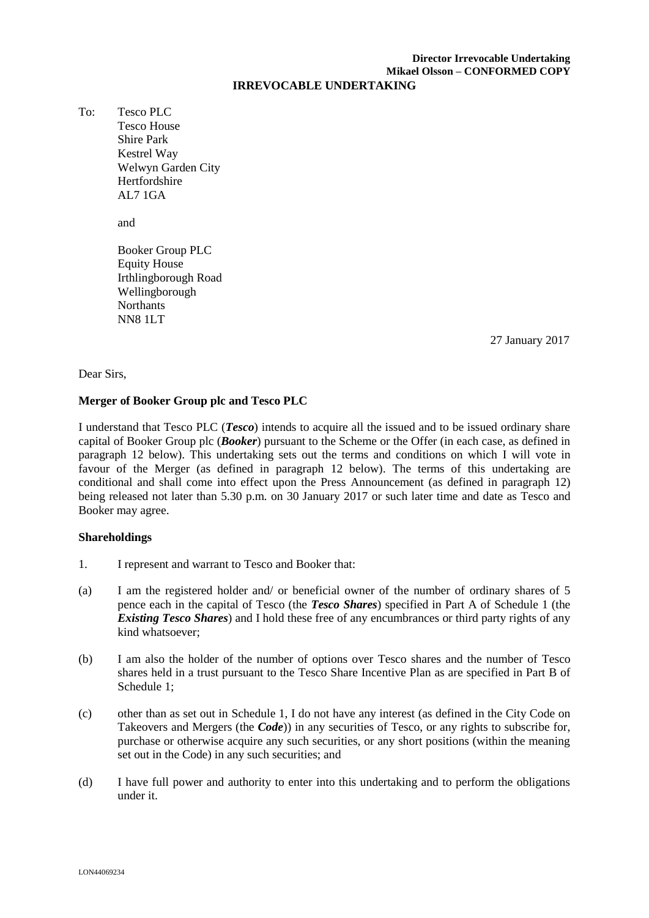# **Director Irrevocable Undertaking Mikael Olsson – CONFORMED COPY**

#### **IRREVOCABLE UNDERTAKING**

To: Tesco PLC Tesco House Shire Park Kestrel Way Welwyn Garden City Hertfordshire AL7 1GA

and

Booker Group PLC Equity House Irthlingborough Road Wellingborough Northants NN8 1LT

\_\_\_\_\_ January 2017 27 27 January 2017

#### Dear Sirs,

### **Merger of Booker Group plc and Tesco PLC**

I understand that Tesco PLC (*Tesco*) intends to acquire all the issued and to be issued ordinary share capital of Booker Group plc (*Booker*) pursuant to the Scheme or the Offer (in each case, as defined in paragraph 12 below). This undertaking sets out the terms and conditions on which I will vote in favour of the Merger (as defined in paragraph 12 below). The terms of this undertaking are conditional and shall come into effect upon the Press Announcement (as defined in paragraph 12) being released not later than 5.30 p.m. on 30 January 2017 or such later time and date as Tesco and Booker may agree.

### **Shareholdings**

- 1. I represent and warrant to Tesco and Booker that:
- (a) I am the registered holder and/ or beneficial owner of the number of ordinary shares of 5 pence each in the capital of Tesco (the *Tesco Shares*) specified in Part A of Schedule 1 (the *Existing Tesco Shares*) and I hold these free of any encumbrances or third party rights of any kind whatsoever;
- (b) I am also the holder of the number of options over Tesco shares and the number of Tesco shares held in a trust pursuant to the Tesco Share Incentive Plan as are specified in Part B of Schedule 1;
- (c) other than as set out in Schedule 1, I do not have any interest (as defined in the City Code on Takeovers and Mergers (the *Code*)) in any securities of Tesco, or any rights to subscribe for, purchase or otherwise acquire any such securities, or any short positions (within the meaning set out in the Code) in any such securities; and
- (d) I have full power and authority to enter into this undertaking and to perform the obligations under it.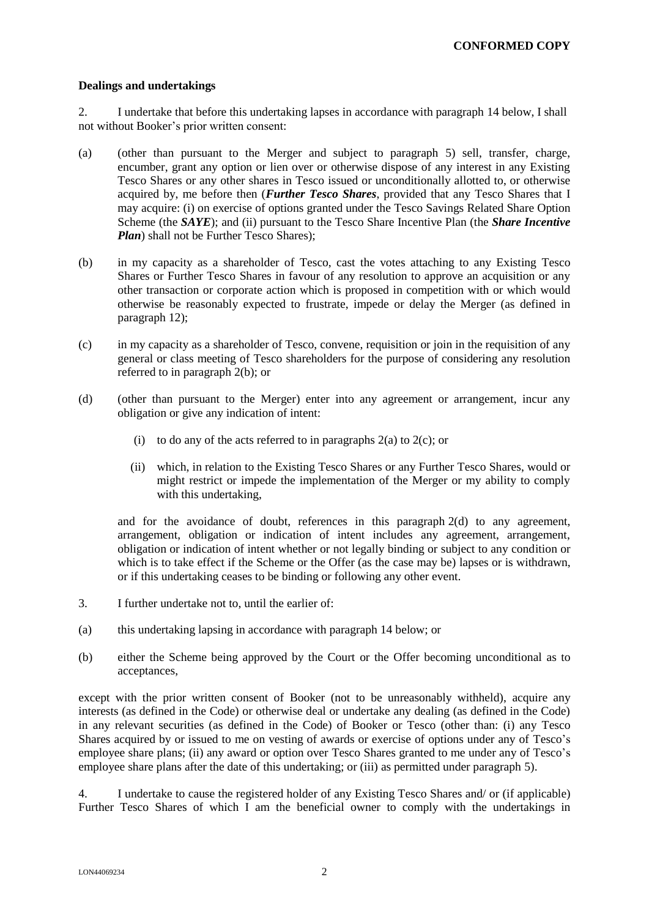#### **Dealings and undertakings**

2. I undertake that before this undertaking lapses in accordance with paragraph 14 below, I shall not without Booker's prior written consent:

- (a) (other than pursuant to the Merger and subject to paragraph 5) sell, transfer, charge, encumber, grant any option or lien over or otherwise dispose of any interest in any Existing Tesco Shares or any other shares in Tesco issued or unconditionally allotted to, or otherwise acquired by, me before then (*Further Tesco Shares*, provided that any Tesco Shares that I may acquire: (i) on exercise of options granted under the Tesco Savings Related Share Option Scheme (the *SAYE*); and (ii) pursuant to the Tesco Share Incentive Plan (the *Share Incentive Plan*) shall not be Further Tesco Shares):
- (b) in my capacity as a shareholder of Tesco, cast the votes attaching to any Existing Tesco Shares or Further Tesco Shares in favour of any resolution to approve an acquisition or any other transaction or corporate action which is proposed in competition with or which would otherwise be reasonably expected to frustrate, impede or delay the Merger (as defined in paragraph 12);
- (c) in my capacity as a shareholder of Tesco, convene, requisition or join in the requisition of any general or class meeting of Tesco shareholders for the purpose of considering any resolution referred to in paragraph 2(b); or
- (d) (other than pursuant to the Merger) enter into any agreement or arrangement, incur any obligation or give any indication of intent:
	- (i) to do any of the acts referred to in paragraphs  $2(a)$  to  $2(c)$ ; or
	- (ii) which, in relation to the Existing Tesco Shares or any Further Tesco Shares, would or might restrict or impede the implementation of the Merger or my ability to comply with this undertaking,

and for the avoidance of doubt, references in this paragraph 2(d) to any agreement, arrangement, obligation or indication of intent includes any agreement, arrangement, obligation or indication of intent whether or not legally binding or subject to any condition or which is to take effect if the Scheme or the Offer (as the case may be) lapses or is withdrawn, or if this undertaking ceases to be binding or following any other event.

- 3. I further undertake not to, until the earlier of:
- (a) this undertaking lapsing in accordance with paragraph 14 below; or
- (b) either the Scheme being approved by the Court or the Offer becoming unconditional as to acceptances,

except with the prior written consent of Booker (not to be unreasonably withheld), acquire any interests (as defined in the Code) or otherwise deal or undertake any dealing (as defined in the Code) in any relevant securities (as defined in the Code) of Booker or Tesco (other than: (i) any Tesco Shares acquired by or issued to me on vesting of awards or exercise of options under any of Tesco's employee share plans; (ii) any award or option over Tesco Shares granted to me under any of Tesco's employee share plans after the date of this undertaking; or (iii) as permitted under paragraph 5).

4. I undertake to cause the registered holder of any Existing Tesco Shares and/ or (if applicable) Further Tesco Shares of which I am the beneficial owner to comply with the undertakings in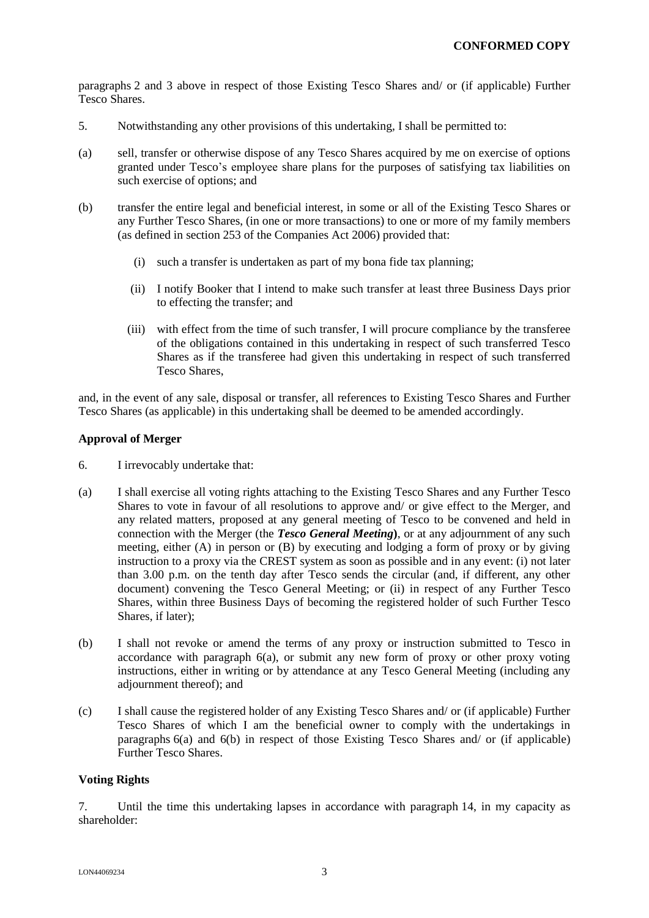paragraphs 2 and 3 above in respect of those Existing Tesco Shares and/ or (if applicable) Further Tesco Shares.

- 5. Notwithstanding any other provisions of this undertaking, I shall be permitted to:
- (a) sell, transfer or otherwise dispose of any Tesco Shares acquired by me on exercise of options granted under Tesco's employee share plans for the purposes of satisfying tax liabilities on such exercise of options; and
- (b) transfer the entire legal and beneficial interest, in some or all of the Existing Tesco Shares or any Further Tesco Shares, (in one or more transactions) to one or more of my family members (as defined in section 253 of the Companies Act 2006) provided that:
	- (i) such a transfer is undertaken as part of my bona fide tax planning;
	- (ii) I notify Booker that I intend to make such transfer at least three Business Days prior to effecting the transfer; and
	- (iii) with effect from the time of such transfer, I will procure compliance by the transferee of the obligations contained in this undertaking in respect of such transferred Tesco Shares as if the transferee had given this undertaking in respect of such transferred Tesco Shares,

and, in the event of any sale, disposal or transfer, all references to Existing Tesco Shares and Further Tesco Shares (as applicable) in this undertaking shall be deemed to be amended accordingly.

### **Approval of Merger**

- 6. I irrevocably undertake that:
- (a) I shall exercise all voting rights attaching to the Existing Tesco Shares and any Further Tesco Shares to vote in favour of all resolutions to approve and/ or give effect to the Merger, and any related matters, proposed at any general meeting of Tesco to be convened and held in connection with the Merger (the *Tesco General Meeting***)**, or at any adjournment of any such meeting, either (A) in person or (B) by executing and lodging a form of proxy or by giving instruction to a proxy via the CREST system as soon as possible and in any event: (i) not later than 3.00 p.m. on the tenth day after Tesco sends the circular (and, if different, any other document) convening the Tesco General Meeting; or (ii) in respect of any Further Tesco Shares, within three Business Days of becoming the registered holder of such Further Tesco Shares, if later);
- (b) I shall not revoke or amend the terms of any proxy or instruction submitted to Tesco in accordance with paragraph 6(a), or submit any new form of proxy or other proxy voting instructions, either in writing or by attendance at any Tesco General Meeting (including any adjournment thereof); and
- (c) I shall cause the registered holder of any Existing Tesco Shares and/ or (if applicable) Further Tesco Shares of which I am the beneficial owner to comply with the undertakings in paragraphs 6(a) and 6(b) in respect of those Existing Tesco Shares and/ or (if applicable) Further Tesco Shares.

### **Voting Rights**

7. Until the time this undertaking lapses in accordance with paragraph 14, in my capacity as shareholder: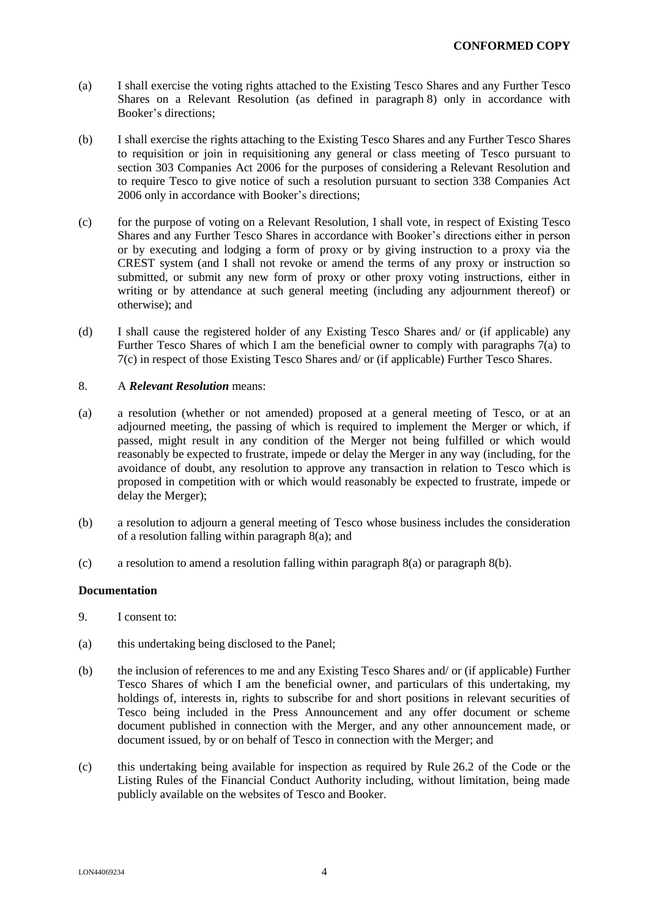- (a) I shall exercise the voting rights attached to the Existing Tesco Shares and any Further Tesco Shares on a Relevant Resolution (as defined in paragraph 8) only in accordance with Booker's directions;
- (b) I shall exercise the rights attaching to the Existing Tesco Shares and any Further Tesco Shares to requisition or join in requisitioning any general or class meeting of Tesco pursuant to section 303 Companies Act 2006 for the purposes of considering a Relevant Resolution and to require Tesco to give notice of such a resolution pursuant to section 338 Companies Act 2006 only in accordance with Booker's directions;
- (c) for the purpose of voting on a Relevant Resolution, I shall vote, in respect of Existing Tesco Shares and any Further Tesco Shares in accordance with Booker's directions either in person or by executing and lodging a form of proxy or by giving instruction to a proxy via the CREST system (and I shall not revoke or amend the terms of any proxy or instruction so submitted, or submit any new form of proxy or other proxy voting instructions, either in writing or by attendance at such general meeting (including any adjournment thereof) or otherwise); and
- (d) I shall cause the registered holder of any Existing Tesco Shares and/ or (if applicable) any Further Tesco Shares of which I am the beneficial owner to comply with paragraphs 7(a) to 7(c) in respect of those Existing Tesco Shares and/ or (if applicable) Further Tesco Shares.

#### 8. A *Relevant Resolution* means:

- (a) a resolution (whether or not amended) proposed at a general meeting of Tesco, or at an adjourned meeting, the passing of which is required to implement the Merger or which, if passed, might result in any condition of the Merger not being fulfilled or which would reasonably be expected to frustrate, impede or delay the Merger in any way (including, for the avoidance of doubt, any resolution to approve any transaction in relation to Tesco which is proposed in competition with or which would reasonably be expected to frustrate, impede or delay the Merger);
- (b) a resolution to adjourn a general meeting of Tesco whose business includes the consideration of a resolution falling within paragraph 8(a); and
- (c) a resolution to amend a resolution falling within paragraph 8(a) or paragraph 8(b).

#### **Documentation**

- 9. I consent to:
- (a) this undertaking being disclosed to the Panel;
- (b) the inclusion of references to me and any Existing Tesco Shares and/ or (if applicable) Further Tesco Shares of which I am the beneficial owner, and particulars of this undertaking, my holdings of, interests in, rights to subscribe for and short positions in relevant securities of Tesco being included in the Press Announcement and any offer document or scheme document published in connection with the Merger, and any other announcement made, or document issued, by or on behalf of Tesco in connection with the Merger; and
- (c) this undertaking being available for inspection as required by Rule 26.2 of the Code or the Listing Rules of the Financial Conduct Authority including, without limitation, being made publicly available on the websites of Tesco and Booker.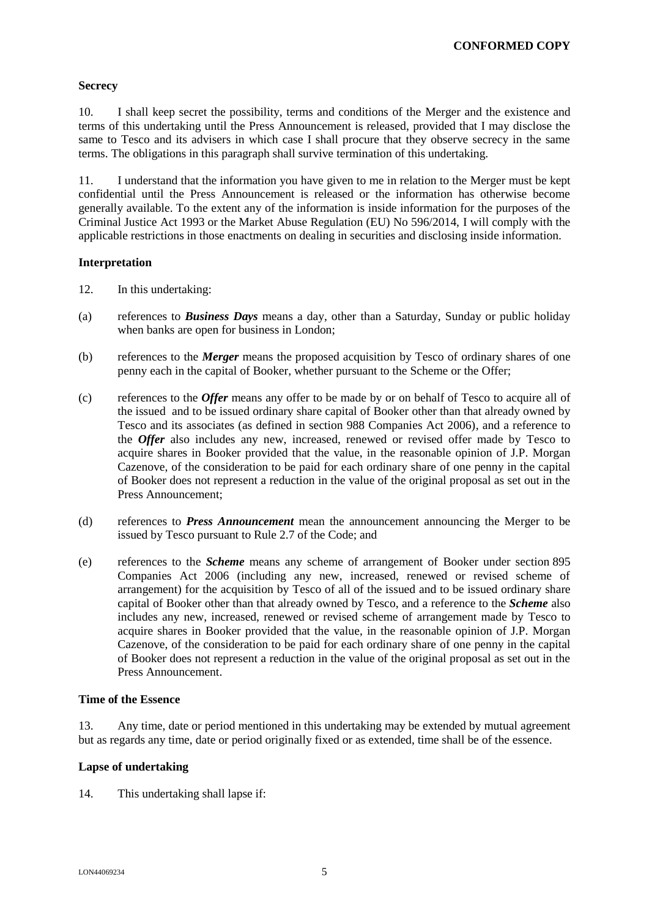### **Secrecy**

10. I shall keep secret the possibility, terms and conditions of the Merger and the existence and terms of this undertaking until the Press Announcement is released, provided that I may disclose the same to Tesco and its advisers in which case I shall procure that they observe secrecy in the same terms. The obligations in this paragraph shall survive termination of this undertaking.

11. I understand that the information you have given to me in relation to the Merger must be kept confidential until the Press Announcement is released or the information has otherwise become generally available. To the extent any of the information is inside information for the purposes of the Criminal Justice Act 1993 or the Market Abuse Regulation (EU) No 596/2014, I will comply with the applicable restrictions in those enactments on dealing in securities and disclosing inside information.

## **Interpretation**

- 12. In this undertaking:
- (a) references to *Business Days* means a day, other than a Saturday, Sunday or public holiday when banks are open for business in London;
- (b) references to the *Merger* means the proposed acquisition by Tesco of ordinary shares of one penny each in the capital of Booker, whether pursuant to the Scheme or the Offer;
- (c) references to the *Offer* means any offer to be made by or on behalf of Tesco to acquire all of the issued and to be issued ordinary share capital of Booker other than that already owned by Tesco and its associates (as defined in section 988 Companies Act 2006), and a reference to the *Offer* also includes any new, increased, renewed or revised offer made by Tesco to acquire shares in Booker provided that the value, in the reasonable opinion of J.P. Morgan Cazenove, of the consideration to be paid for each ordinary share of one penny in the capital of Booker does not represent a reduction in the value of the original proposal as set out in the Press Announcement;
- (d) references to *Press Announcement* mean the announcement announcing the Merger to be issued by Tesco pursuant to Rule 2.7 of the Code; and
- (e) references to the *Scheme* means any scheme of arrangement of Booker under section 895 Companies Act 2006 (including any new, increased, renewed or revised scheme of arrangement) for the acquisition by Tesco of all of the issued and to be issued ordinary share capital of Booker other than that already owned by Tesco, and a reference to the *Scheme* also includes any new, increased, renewed or revised scheme of arrangement made by Tesco to acquire shares in Booker provided that the value, in the reasonable opinion of J.P. Morgan Cazenove, of the consideration to be paid for each ordinary share of one penny in the capital of Booker does not represent a reduction in the value of the original proposal as set out in the Press Announcement.

### **Time of the Essence**

13. Any time, date or period mentioned in this undertaking may be extended by mutual agreement but as regards any time, date or period originally fixed or as extended, time shall be of the essence.

### **Lapse of undertaking**

14. This undertaking shall lapse if: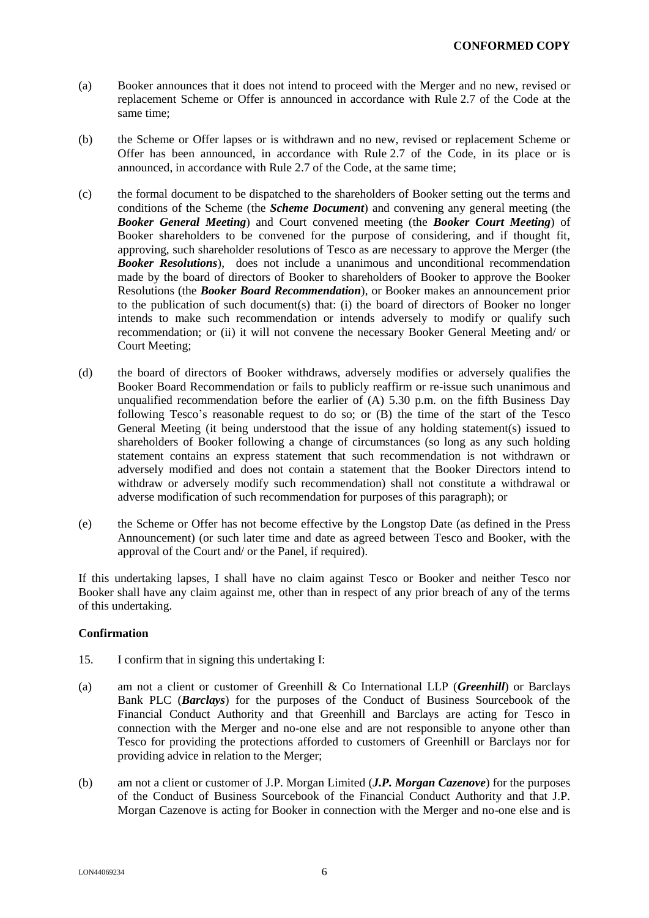- (a) Booker announces that it does not intend to proceed with the Merger and no new, revised or replacement Scheme or Offer is announced in accordance with Rule 2.7 of the Code at the same time;
- (b) the Scheme or Offer lapses or is withdrawn and no new, revised or replacement Scheme or Offer has been announced, in accordance with Rule 2.7 of the Code, in its place or is announced, in accordance with Rule 2.7 of the Code, at the same time;
- (c) the formal document to be dispatched to the shareholders of Booker setting out the terms and conditions of the Scheme (the *Scheme Document*) and convening any general meeting (the *Booker General Meeting*) and Court convened meeting (the *Booker Court Meeting*) of Booker shareholders to be convened for the purpose of considering, and if thought fit, approving, such shareholder resolutions of Tesco as are necessary to approve the Merger (the *Booker Resolutions*), does not include a unanimous and unconditional recommendation made by the board of directors of Booker to shareholders of Booker to approve the Booker Resolutions (the *Booker Board Recommendation*), or Booker makes an announcement prior to the publication of such document(s) that: (i) the board of directors of Booker no longer intends to make such recommendation or intends adversely to modify or qualify such recommendation; or (ii) it will not convene the necessary Booker General Meeting and/ or Court Meeting;
- (d) the board of directors of Booker withdraws, adversely modifies or adversely qualifies the Booker Board Recommendation or fails to publicly reaffirm or re-issue such unanimous and unqualified recommendation before the earlier of  $(A)$  5.30 p.m. on the fifth Business Day following Tesco's reasonable request to do so; or (B) the time of the start of the Tesco General Meeting (it being understood that the issue of any holding statement(s) issued to shareholders of Booker following a change of circumstances (so long as any such holding statement contains an express statement that such recommendation is not withdrawn or adversely modified and does not contain a statement that the Booker Directors intend to withdraw or adversely modify such recommendation) shall not constitute a withdrawal or adverse modification of such recommendation for purposes of this paragraph); or
- (e) the Scheme or Offer has not become effective by the Longstop Date (as defined in the Press Announcement) (or such later time and date as agreed between Tesco and Booker, with the approval of the Court and/ or the Panel, if required).

If this undertaking lapses, I shall have no claim against Tesco or Booker and neither Tesco nor Booker shall have any claim against me, other than in respect of any prior breach of any of the terms of this undertaking.

### **Confirmation**

- 15. I confirm that in signing this undertaking I:
- (a) am not a client or customer of Greenhill & Co International LLP (*Greenhill*) or Barclays Bank PLC (*Barclays*) for the purposes of the Conduct of Business Sourcebook of the Financial Conduct Authority and that Greenhill and Barclays are acting for Tesco in connection with the Merger and no-one else and are not responsible to anyone other than Tesco for providing the protections afforded to customers of Greenhill or Barclays nor for providing advice in relation to the Merger;
- (b) am not a client or customer of J.P. Morgan Limited (*J.P. Morgan Cazenove*) for the purposes of the Conduct of Business Sourcebook of the Financial Conduct Authority and that J.P. Morgan Cazenove is acting for Booker in connection with the Merger and no-one else and is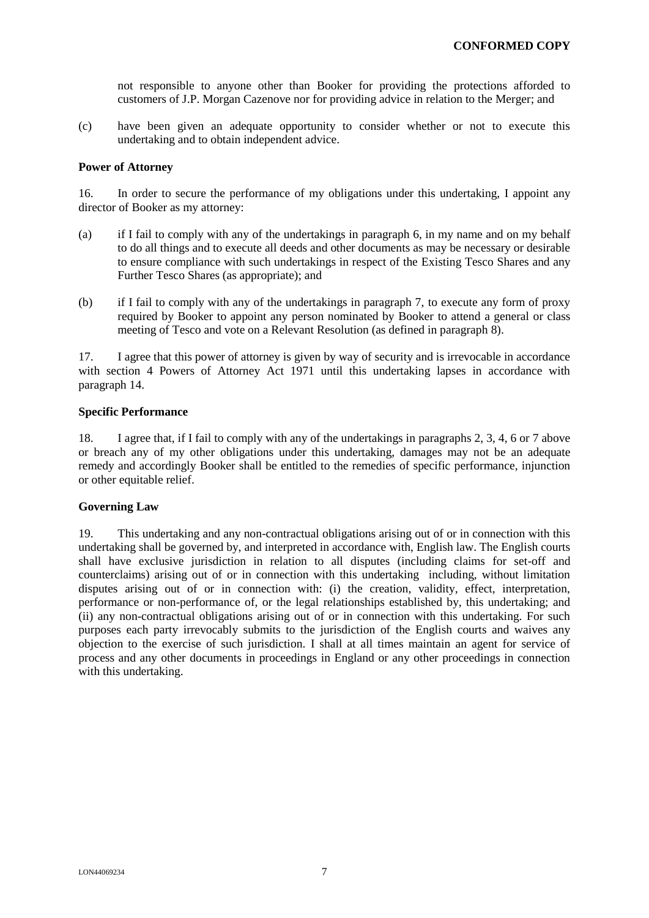not responsible to anyone other than Booker for providing the protections afforded to customers of J.P. Morgan Cazenove nor for providing advice in relation to the Merger; and

(c) have been given an adequate opportunity to consider whether or not to execute this undertaking and to obtain independent advice.

#### **Power of Attorney**

16. In order to secure the performance of my obligations under this undertaking, I appoint any director of Booker as my attorney:

- (a) if I fail to comply with any of the undertakings in paragraph 6, in my name and on my behalf to do all things and to execute all deeds and other documents as may be necessary or desirable to ensure compliance with such undertakings in respect of the Existing Tesco Shares and any Further Tesco Shares (as appropriate); and
- (b) if I fail to comply with any of the undertakings in paragraph 7, to execute any form of proxy required by Booker to appoint any person nominated by Booker to attend a general or class meeting of Tesco and vote on a Relevant Resolution (as defined in paragraph 8).

17. I agree that this power of attorney is given by way of security and is irrevocable in accordance with section 4 Powers of Attorney Act 1971 until this undertaking lapses in accordance with paragraph 14.

#### **Specific Performance**

18. I agree that, if I fail to comply with any of the undertakings in paragraphs 2, 3, 4, 6 or 7 above or breach any of my other obligations under this undertaking, damages may not be an adequate remedy and accordingly Booker shall be entitled to the remedies of specific performance, injunction or other equitable relief.

### **Governing Law**

19. This undertaking and any non-contractual obligations arising out of or in connection with this undertaking shall be governed by, and interpreted in accordance with, English law. The English courts shall have exclusive jurisdiction in relation to all disputes (including claims for set-off and counterclaims) arising out of or in connection with this undertaking including, without limitation disputes arising out of or in connection with: (i) the creation, validity, effect, interpretation, performance or non-performance of, or the legal relationships established by, this undertaking; and (ii) any non-contractual obligations arising out of or in connection with this undertaking. For such purposes each party irrevocably submits to the jurisdiction of the English courts and waives any objection to the exercise of such jurisdiction. I shall at all times maintain an agent for service of process and any other documents in proceedings in England or any other proceedings in connection with this undertaking.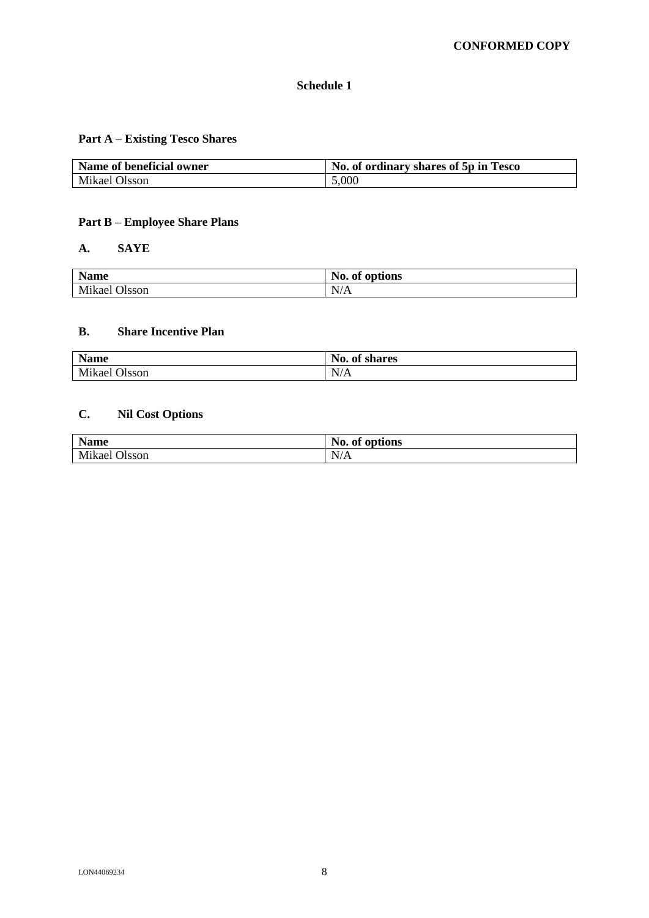# **Schedule 1**

# **Part A – Existing Tesco Shares**

| Name of beneficial owner | No. of ordinary shares of 5p in Tesco |
|--------------------------|---------------------------------------|
| Mikael Olsson            | 5,000                                 |

# **Part B – Employee Share Plans**

# **A. SAYE**

| <b>Name</b>                                 | No.<br>of options |
|---------------------------------------------|-------------------|
| Mikael C<br>1 <sub>0</sub><br><b>Olsson</b> | N/A               |

# **B. Share Incentive Plan**

| <b>Name</b>      | No.<br>$\bullet$<br><b>shares</b><br>0Ť |
|------------------|-----------------------------------------|
| Mikael<br>Olsson | N/A                                     |

# **C. Nil Cost Options**

| <b>Name</b>      | No.<br>options<br>0ľ                      |
|------------------|-------------------------------------------|
| Mikael<br>Olsson | $T$ $T$ $T$ $A$<br>N<br>А<br>$\mathbf{v}$ |